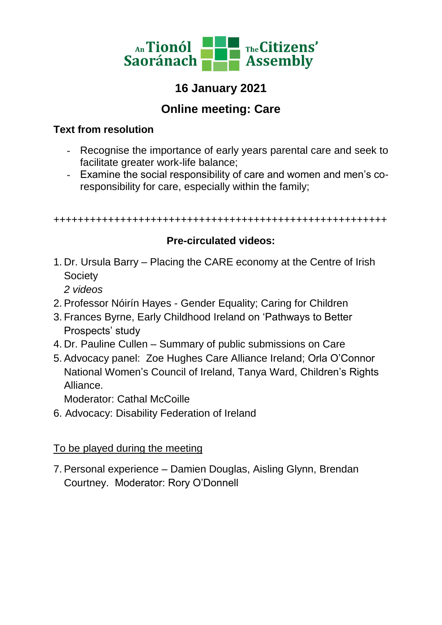

# **16 January 2021**

## **Online meeting: Care**

#### **Text from resolution**

- Recognise the importance of early years parental care and seek to facilitate greater work-life balance;
- Examine the social responsibility of care and women and men's coresponsibility for care, especially within the family;

+++++++++++++++++++++++++++++++++++++++++++++++++++++++

#### **Pre-circulated videos:**

1. Dr. Ursula Barry – Placing the CARE economy at the Centre of Irish **Society** 

*2 videos*

- 2. Professor Nóirín Hayes Gender Equality; Caring for Children
- 3. Frances Byrne, Early Childhood Ireland on 'Pathways to Better Prospects' study
- 4. Dr. Pauline Cullen Summary of public submissions on Care
- 5. Advocacy panel: Zoe Hughes Care Alliance Ireland; Orla O'Connor National Women's Council of Ireland, Tanya Ward, Children's Rights Alliance.

Moderator: Cathal McCoille

6. Advocacy: Disability Federation of Ireland

#### To be played during the meeting

7. Personal experience – Damien Douglas, Aisling Glynn, Brendan Courtney. Moderator: Rory O'Donnell